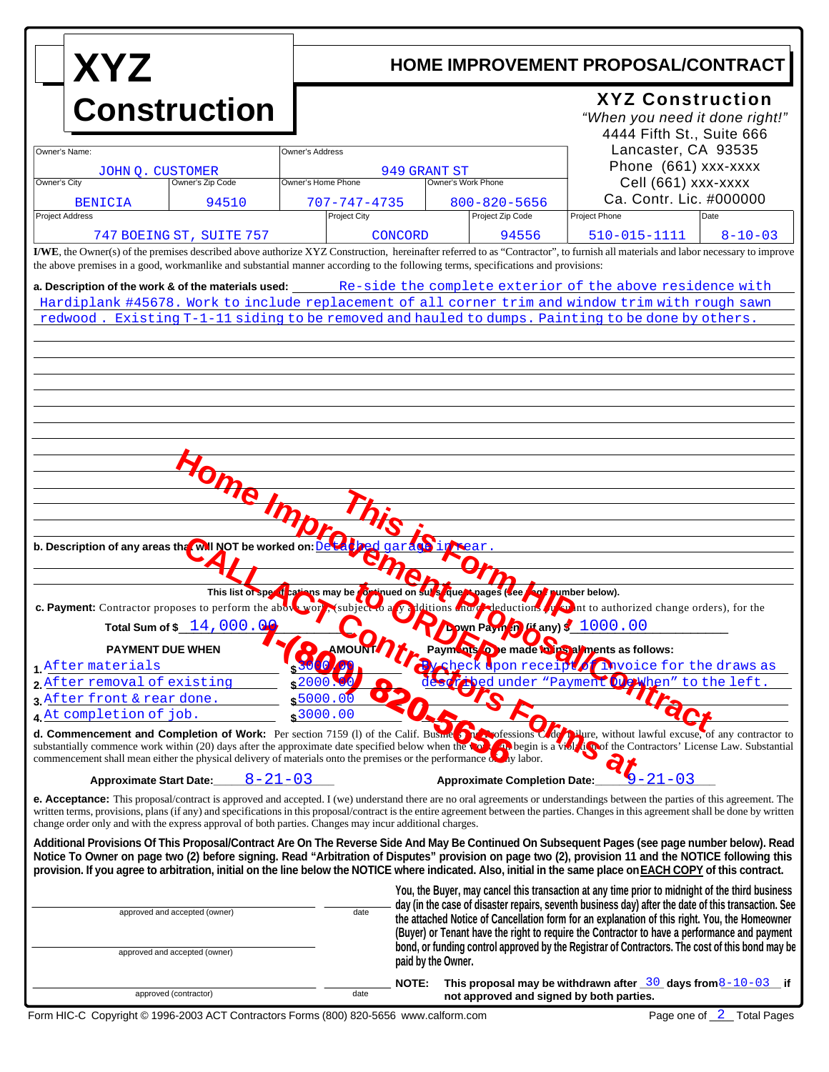| <b>XYZ</b><br><b>Construction</b>                                                                                                                                    |                               |                                                                                                                             | HOME IMPROVEMENT PROPOSAL/CONTRACT<br><b>XYZ Construction</b><br>"When you need it done right!"<br>4444 Fifth St., Suite 666 |                                                                                                                                                                                                                                                                                                                                                                                                                                                                                                            |                                                                                                                                                                                                                                                                                                                                                                                                                                                                        |  |
|----------------------------------------------------------------------------------------------------------------------------------------------------------------------|-------------------------------|-----------------------------------------------------------------------------------------------------------------------------|------------------------------------------------------------------------------------------------------------------------------|------------------------------------------------------------------------------------------------------------------------------------------------------------------------------------------------------------------------------------------------------------------------------------------------------------------------------------------------------------------------------------------------------------------------------------------------------------------------------------------------------------|------------------------------------------------------------------------------------------------------------------------------------------------------------------------------------------------------------------------------------------------------------------------------------------------------------------------------------------------------------------------------------------------------------------------------------------------------------------------|--|
|                                                                                                                                                                      |                               |                                                                                                                             |                                                                                                                              |                                                                                                                                                                                                                                                                                                                                                                                                                                                                                                            |                                                                                                                                                                                                                                                                                                                                                                                                                                                                        |  |
| Owner's Name:<br>JOHN Q. CUSTOMER                                                                                                                                    |                               | Owner's Address                                                                                                             | 949 GRANT ST                                                                                                                 |                                                                                                                                                                                                                                                                                                                                                                                                                                                                                                            | Lancaster, CA 93535<br>Phone (661) xxx-xxxx                                                                                                                                                                                                                                                                                                                                                                                                                            |  |
| Owner's City                                                                                                                                                         | Owner's Zip Code              | Owner's Home Phone                                                                                                          | Owner's Work Phone                                                                                                           |                                                                                                                                                                                                                                                                                                                                                                                                                                                                                                            | Cell (661) xxx-xxxx                                                                                                                                                                                                                                                                                                                                                                                                                                                    |  |
| <b>BENICIA</b><br><b>Project Address</b>                                                                                                                             | 94510                         | $707 - 747 - 4735$<br><b>Project City</b>                                                                                   |                                                                                                                              | $800 - 820 - 5656$<br>Project Zip Code                                                                                                                                                                                                                                                                                                                                                                                                                                                                     | Ca. Contr. Lic. #000000<br>Project Phone<br>Date                                                                                                                                                                                                                                                                                                                                                                                                                       |  |
| 747 BOEING ST, SUITE 757                                                                                                                                             |                               |                                                                                                                             | <b>CONCORD</b>                                                                                                               | 94556                                                                                                                                                                                                                                                                                                                                                                                                                                                                                                      | $510 - 015 - 1111$<br>$8 - 10 - 03$                                                                                                                                                                                                                                                                                                                                                                                                                                    |  |
| the above premises in a good, workmanlike and substantial manner according to the following terms, specifications and provisions:                                    |                               |                                                                                                                             |                                                                                                                              |                                                                                                                                                                                                                                                                                                                                                                                                                                                                                                            | I/WE, the Owner(s) of the premises described above authorize XYZ Construction, hereinafter referred to as "Contractor", to furnish all materials and labor necessary to improve                                                                                                                                                                                                                                                                                        |  |
|                                                                                                                                                                      | one Im                        |                                                                                                                             |                                                                                                                              |                                                                                                                                                                                                                                                                                                                                                                                                                                                                                                            |                                                                                                                                                                                                                                                                                                                                                                                                                                                                        |  |
| b. Description of any areas tha WII NOT be worked on:<br><b>PAYMENT DUE WHEN</b>                                                                                     | Total Sum of \$ 14,000.00     | This list of specifications may be continued on sure que wages (see foot number below).<br>$\bullet$<br>AMOUNT<br>$\bullet$ | <b>S</b> in <b>Near</b>                                                                                                      | <b>wn Payin in (if any) \$ 1000.00</b>                                                                                                                                                                                                                                                                                                                                                                                                                                                                     | c. Payment: Contractor proposes to perform the above work, subject to a validations and deductions of the net to authorized change orders), for the<br>Paym nts O e made to ps al ments as follows:                                                                                                                                                                                                                                                                    |  |
| 1 After materials<br>2 After removal of existing                                                                                                                     |                               | $\mathbf{a}$<br>30<br>$\sqrt{2000.00}$                                                                                      |                                                                                                                              |                                                                                                                                                                                                                                                                                                                                                                                                                                                                                                            | sheck dpon receiptor invoice for the draws as                                                                                                                                                                                                                                                                                                                                                                                                                          |  |
| 3 After front & rear done.                                                                                                                                           |                               | \$5000.00                                                                                                                   |                                                                                                                              |                                                                                                                                                                                                                                                                                                                                                                                                                                                                                                            | Les Condunder "Payment Orthen" to the left.                                                                                                                                                                                                                                                                                                                                                                                                                            |  |
| 4 At completion of job.<br>commencement shall mean either the physical delivery of materials onto the premises or the performance $\delta$ and $\delta$ and $\delta$ |                               | \$3000.00                                                                                                                   |                                                                                                                              |                                                                                                                                                                                                                                                                                                                                                                                                                                                                                                            | d. Commencement and Completion of Work: Per section 7159 (1) of the Calif. Busine Concessions Code Dilure, without lawful excuse, of any contractor to<br>substantially commence work within (20) days after the approximate date specified below when the tool are begin is a viol to contractors' License Law. Substantial                                                                                                                                           |  |
| <b>Approximate Start Date:</b><br>change order only and with the express approval of both parties. Changes may incur additional charges.                             | $8 - 21 - 03$                 |                                                                                                                             |                                                                                                                              | <b>Approximate Completion Date:</b>                                                                                                                                                                                                                                                                                                                                                                                                                                                                        | $-21 - 03$<br><b>e. Acceptance:</b> This proposal/contract is approved and accepted. I (we) understand there are no oral agreements or understandings between the parties of this agreement. The<br>written terms, provisions, plans (if any) and specifications in this proposal/contract is the entire agreement between the parties. Changes in this agreement shall be done by written                                                                             |  |
|                                                                                                                                                                      |                               |                                                                                                                             |                                                                                                                              |                                                                                                                                                                                                                                                                                                                                                                                                                                                                                                            | Additional Provisions Of This Proposal/Contract Are On The Reverse Side And May Be Continued On Subsequent Pages (see page number below). Read<br>Notice To Owner on page two (2) before signing. Read "Arbitration of Disputes" provision on page two (2), provision 11 and the NOTICE following this<br>provision. If you agree to arbitration, initial on the line below the NOTICE where indicated. Also, initial in the same place on EACH COPY of this contract. |  |
|                                                                                                                                                                      | approved and accepted (owner) |                                                                                                                             |                                                                                                                              | You, the Buyer, may cancel this transaction at any time prior to midnight of the third business<br>day (in the case of disaster repairs, seventh business day) after the date of this transaction. See<br>the attached Notice of Cancellation form for an explanation of this right. You, the Homeowner<br>(Buyer) or Tenant have the right to require the Contractor to have a performance and payment<br>bond, or funding control approved by the Registrar of Contractors. The cost of this bond may be |                                                                                                                                                                                                                                                                                                                                                                                                                                                                        |  |
| approved and accepted (owner)                                                                                                                                        |                               |                                                                                                                             | paid by the Owner.                                                                                                           |                                                                                                                                                                                                                                                                                                                                                                                                                                                                                                            |                                                                                                                                                                                                                                                                                                                                                                                                                                                                        |  |
| approved (contractor)                                                                                                                                                |                               | date                                                                                                                        | <b>NOTE:</b>                                                                                                                 |                                                                                                                                                                                                                                                                                                                                                                                                                                                                                                            | This proposal may be withdrawn after $\frac{30}{2}$ days from 8-10-03 if<br>not approved and signed by both parties.                                                                                                                                                                                                                                                                                                                                                   |  |